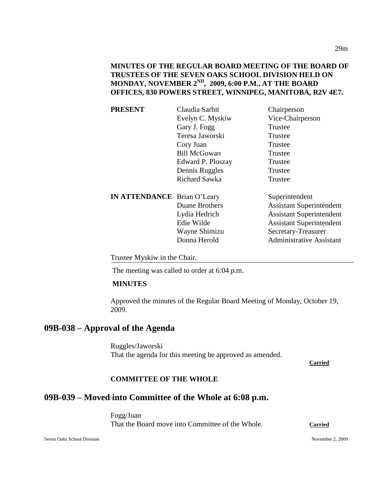**MINUTES OF THE REGULAR BOARD MEETING OF THE BOARD OF TRUSTEES OF THE SEVEN OAKS SCHOOL DIVISION HELD ON MONDAY, NOVEMBER 2ND, 2009, 6:00 P.M., AT THE BOARD OFFICES, 830 POWERS STREET, WINNIPEG, MANITOBA, R2V 4E7.**

| <b>PRESENT</b>                     | Claudia Sarbit      | Chairperson                     |
|------------------------------------|---------------------|---------------------------------|
|                                    | Evelyn C. Myskiw    | Vice-Chairperson                |
|                                    | Gary J. Fogg        | Trustee                         |
|                                    | Teresa Jaworski     | Trustee                         |
|                                    | Cory Juan           | Trustee                         |
|                                    | <b>Bill McGowan</b> | Trustee                         |
|                                    | Edward P. Ploszay   | Trustee                         |
|                                    | Dennis Ruggles      | Trustee                         |
|                                    | Richard Sawka       | Trustee                         |
| <b>IN ATTENDANCE</b> Brian O'Leary |                     | Superintendent                  |
|                                    | Duane Brothers      | <b>Assistant Superintendent</b> |
|                                    | Lydia Hedrich       | <b>Assistant Superintendent</b> |
|                                    | Edie Wilde          | <b>Assistant Superintendent</b> |
|                                    | Wayne Shimizu       | Secretary-Treasurer             |
|                                    | Donna Herold        | <b>Administrative Assistant</b> |
|                                    |                     |                                 |

Trustee Myskiw in the Chair.

The meeting was called to order at 6:04 p.m.

### **MINUTES**

Approved the minutes of the Regular Board Meeting of Monday, October 19, 2009.

# **09B-038 – Approval of the Agenda**

Ruggles/Jaworski That the agenda for this meeting be approved as amended.

**Carried**

#### **COMMITTEE OF THE WHOLE**

# **09B-039 – Moved into Committee of the Whole at 6:08 p.m.**

Fogg/Juan That the Board move into Committee of the Whole. **Carried**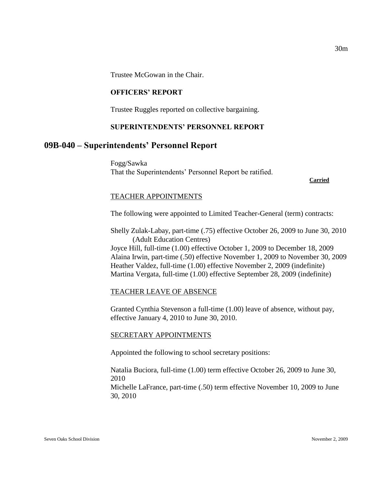Trustee McGowan in the Chair.

#### **OFFICERS' REPORT**

Trustee Ruggles reported on collective bargaining.

#### **SUPERINTENDENTS' PERSONNEL REPORT**

## **09B-040 – Superintendents' Personnel Report**

Fogg/Sawka That the Superintendents' Personnel Report be ratified.

**Carried**

#### TEACHER APPOINTMENTS

The following were appointed to Limited Teacher-General (term) contracts:

Shelly Zulak-Labay, part-time (.75) effective October 26, 2009 to June 30, 2010 (Adult Education Centres)

Joyce Hill, full-time (1.00) effective October 1, 2009 to December 18, 2009 Alaina Irwin, part-time (.50) effective November 1, 2009 to November 30, 2009 Heather Valdez, full-time (1.00) effective November 2, 2009 (indefinite) Martina Vergata, full-time (1.00) effective September 28, 2009 (indefinite)

#### TEACHER LEAVE OF ABSENCE

Granted Cynthia Stevenson a full-time (1.00) leave of absence, without pay, effective January 4, 2010 to June 30, 2010.

#### SECRETARY APPOINTMENTS

Appointed the following to school secretary positions:

Natalia Buciora, full-time (1.00) term effective October 26, 2009 to June 30, 2010 Michelle LaFrance, part-time (.50) term effective November 10, 2009 to June

30, 2010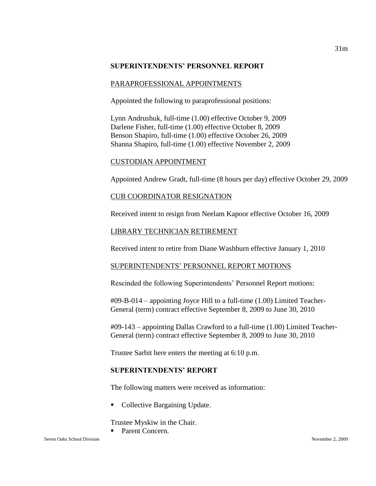#### **SUPERINTENDENTS' PERSONNEL REPORT**

#### PARAPROFESSIONAL APPOINTMENTS

Appointed the following to paraprofessional positions:

Lynn Andrushuk, full-time (1.00) effective October 9, 2009 Darlene Fisher, full-time (1.00) effective October 8, 2009 Benson Shapiro, full-time (1.00) effective October 26, 2009 Shanna Shapiro, full-time (1.00) effective November 2, 2009

#### CUSTODIAN APPOINTMENT

Appointed Andrew Gradt, full-time (8 hours per day) effective October 29, 2009

#### CUB COORDINATOR RESIGNATION

Received intent to resign from Neelam Kapoor effective October 16, 2009

#### LIBRARY TECHNICIAN RETIREMENT

Received intent to retire from Diane Washburn effective January 1, 2010

### SUPERINTENDENTS' PERSONNEL REPORT MOTIONS

Rescinded the following Superintendents' Personnel Report motions:

#09-B-014 – appointing Joyce Hill to a full-time (1.00) Limited Teacher-General (term) contract effective September 8, 2009 to June 30, 2010

#09-143 – appointing Dallas Crawford to a full-time (1.00) Limited Teacher-General (term) contract effective September 8, 2009 to June 30, 2010

Trustee Sarbit here enters the meeting at 6:10 p.m.

### **SUPERINTENDENTS' REPORT**

The following matters were received as information:

• Collective Bargaining Update.

Trustee Myskiw in the Chair.

Parent Concern.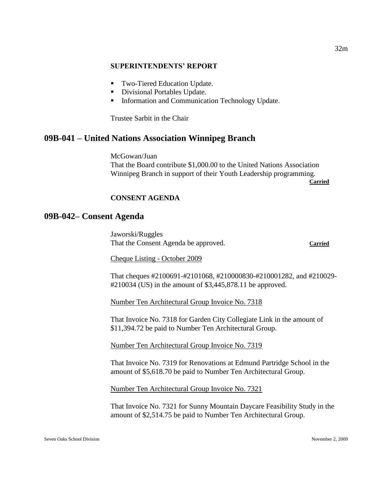#### **SUPERINTENDENTS' REPORT**

- Two-Tiered Education Update.
- **Divisional Portables Update.**
- Information and Communication Technology Update.

Trustee Sarbit in the Chair

## **09B-041 – United Nations Association Winnipeg Branch**

McGowan/Juan That the Board contribute \$1,000.00 to the United Nations Association Winnipeg Branch in support of their Youth Leadership programming.

**Carried**

#### **CONSENT AGENDA**

## **09B-042– Consent Agenda**

Jaworski/Ruggles That the Consent Agenda be approved. **Carried**

Cheque Listing - October 2009

That cheques #2100691-#2101068, #210000830-#210001282, and #210029- #210034 (US) in the amount of \$3,445,878.11 be approved.

Number Ten Architectural Group Invoice No. 7318

That Invoice No. 7318 for Garden City Collegiate Link in the amount of \$11,394.72 be paid to Number Ten Architectural Group.

Number Ten Architectural Group Invoice No. 7319

That Invoice No. 7319 for Renovations at Edmund Partridge School in the amount of \$5,618.70 be paid to Number Ten Architectural Group.

Number Ten Architectural Group Invoice No. 7321

That Invoice No. 7321 for Sunny Mountain Daycare Feasibility Study in the amount of \$2,514.75 be paid to Number Ten Architectural Group.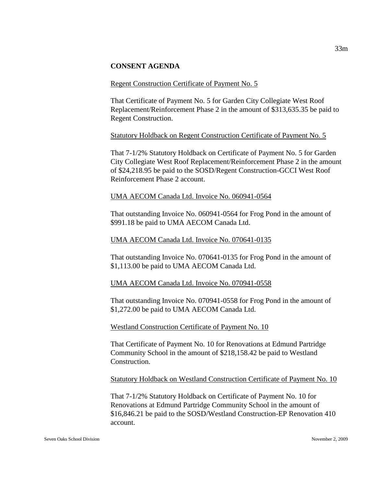#### **CONSENT AGENDA**

#### Regent Construction Certificate of Payment No. 5

That Certificate of Payment No. 5 for Garden City Collegiate West Roof Replacement/Reinforcement Phase 2 in the amount of \$313,635.35 be paid to Regent Construction.

#### Statutory Holdback on Regent Construction Certificate of Payment No. 5

That 7-1/2% Statutory Holdback on Certificate of Payment No. 5 for Garden City Collegiate West Roof Replacement/Reinforcement Phase 2 in the amount of \$24,218.95 be paid to the SOSD/Regent Construction-GCCI West Roof Reinforcement Phase 2 account.

#### UMA AECOM Canada Ltd. Invoice No. 060941-0564

That outstanding Invoice No. 060941-0564 for Frog Pond in the amount of \$991.18 be paid to UMA AECOM Canada Ltd.

#### UMA AECOM Canada Ltd. Invoice No. 070641-0135

That outstanding Invoice No. 070641-0135 for Frog Pond in the amount of \$1,113.00 be paid to UMA AECOM Canada Ltd.

#### UMA AECOM Canada Ltd. Invoice No. 070941-0558

That outstanding Invoice No. 070941-0558 for Frog Pond in the amount of \$1,272.00 be paid to UMA AECOM Canada Ltd.

Westland Construction Certificate of Payment No. 10

That Certificate of Payment No. 10 for Renovations at Edmund Partridge Community School in the amount of \$218,158.42 be paid to Westland Construction.

Statutory Holdback on Westland Construction Certificate of Payment No. 10

That 7-1/2% Statutory Holdback on Certificate of Payment No. 10 for Renovations at Edmund Partridge Community School in the amount of \$16,846.21 be paid to the SOSD/Westland Construction-EP Renovation 410 account.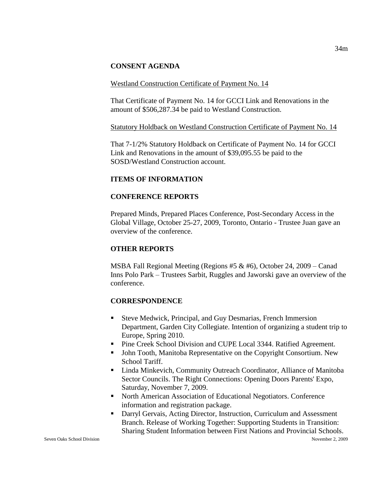### **CONSENT AGENDA**

### Westland Construction Certificate of Payment No. 14

That Certificate of Payment No. 14 for GCCI Link and Renovations in the amount of \$506,287.34 be paid to Westland Construction.

### Statutory Holdback on Westland Construction Certificate of Payment No. 14

That 7-1/2% Statutory Holdback on Certificate of Payment No. 14 for GCCI Link and Renovations in the amount of \$39,095.55 be paid to the SOSD/Westland Construction account.

## **ITEMS OF INFORMATION**

## **CONFERENCE REPORTS**

Prepared Minds, Prepared Places Conference, Post-Secondary Access in the Global Village, October 25-27, 2009, Toronto, Ontario - Trustee Juan gave an overview of the conference.

## **OTHER REPORTS**

MSBA Fall Regional Meeting (Regions #5 & #6), October 24, 2009 – Canad Inns Polo Park – Trustees Sarbit, Ruggles and Jaworski gave an overview of the conference.

## **CORRESPONDENCE**

- Steve Medwick, Principal, and Guy Desmarias, French Immersion Department, Garden City Collegiate. Intention of organizing a student trip to Europe, Spring 2010.
- **Pine Creek School Division and CUPE Local 3344. Ratified Agreement.**
- John Tooth, Manitoba Representative on the Copyright Consortium. New School Tariff.
- Linda Minkevich, Community Outreach Coordinator, Alliance of Manitoba Sector Councils. The Right Connections: Opening Doors Parents' Expo, Saturday, November 7, 2009.
- North American Association of Educational Negotiators. Conference information and registration package.
- Darryl Gervais, Acting Director, Instruction, Curriculum and Assessment Branch. Release of Working Together: Supporting Students in Transition: Sharing Student Information between First Nations and Provincial Schools.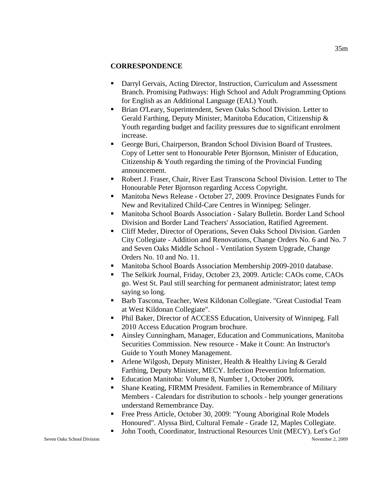### **CORRESPONDENCE**

- Darryl Gervais, Acting Director, Instruction, Curriculum and Assessment Branch. Promising Pathways: High School and Adult Programming Options for English as an Additional Language (EAL) Youth.
- Brian O'Leary, Superintendent, Seven Oaks School Division. Letter to Gerald Farthing, Deputy Minister, Manitoba Education, Citizenship & Youth regarding budget and facility pressures due to significant enrolment increase.
- George Buri, Chairperson, Brandon School Division Board of Trustees. Copy of Letter sent to Honourable Peter Bjornson, Minister of Education, Citizenship & Youth regarding the timing of the Provincial Funding announcement.
- Robert J. Fraser, Chair, River East Transcona School Division. Letter to The Honourable Peter Bjornson regarding Access Copyright.
- Manitoba News Release October 27, 2009. Province Designates Funds for New and Revitalized Child-Care Centres in Winnipeg: Selinger.
- Manitoba School Boards Association Salary Bulletin. Border Land School Division and Border Land Teachers' Association, Ratified Agreement.
- Cliff Meder, Director of Operations, Seven Oaks School Division. Garden City Collegiate - Addition and Renovations, Change Orders No. 6 and No. 7 and Seven Oaks Middle School - Ventilation System Upgrade, Change Orders No. 10 and No. 11.
- **Manitoba School Boards Association Membership 2009-2010 database.**
- The Selkirk Journal, Friday, October 23, 2009. Article: CAOs come, CAOs go. West St. Paul still searching for permanent administrator; latest temp saying so long.
- Barb Tascona, Teacher, West Kildonan Collegiate. "Great Custodial Team at West Kildonan Collegiate".
- Phil Baker, Director of ACCESS Education, University of Winnipeg. Fall 2010 Access Education Program brochure.
- Ainsley Cunningham, Manager, Education and Communications, Manitoba Securities Commission. New resource - Make it Count: An Instructor's Guide to Youth Money Management.
- Arlene Wilgosh, Deputy Minister, Health & Healthy Living  $&$  Gerald Farthing, Deputy Minister, MECY. Infection Prevention Information.
- Education Manitoba: Volume 8, Number 1, October 2009**.**
- Shane Keating, FIRMM President. Families in Remembrance of Military Members - Calendars for distribution to schools - help younger generations understand Remembrance Day.
- Free Press Article, October 30, 2009: "Young Aboriginal Role Models Honoured". Alyssa Bird, Cultural Female - Grade 12, Maples Collegiate.
- John Tooth, Coordinator, Instructional Resources Unit (MECY). Let's Go!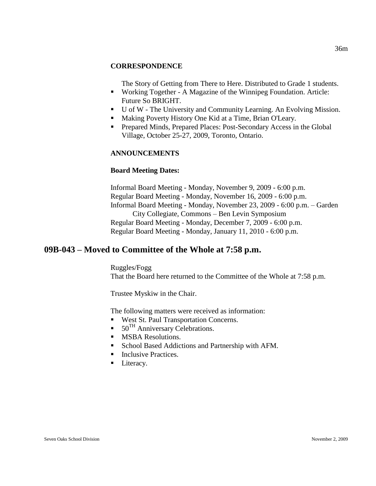#### **CORRESPONDENCE**

The Story of Getting from There to Here. Distributed to Grade 1 students.

- Working Together A Magazine of the Winnipeg Foundation. Article: Future So BRIGHT.
- U of W The University and Community Learning. An Evolving Mission.
- **Making Poverty History One Kid at a Time, Brian O'Leary.**
- **Prepared Minds, Prepared Places: Post-Secondary Access in the Global** Village, October 25-27, 2009, Toronto, Ontario.

#### **ANNOUNCEMENTS**

#### **Board Meeting Dates:**

Informal Board Meeting - Monday, November 9, 2009 - 6:00 p.m. Regular Board Meeting - Monday, November 16, 2009 - 6:00 p.m. Informal Board Meeting - Monday, November 23, 2009 - 6:00 p.m. – Garden City Collegiate, Commons – Ben Levin Symposium Regular Board Meeting - Monday, December 7, 2009 - 6:00 p.m. Regular Board Meeting - Monday, January 11, 2010 - 6:00 p.m.

# **09B-043 – Moved to Committee of the Whole at 7:58 p.m.**

Ruggles/Fogg That the Board here returned to the Committee of the Whole at 7:58 p.m.

Trustee Myskiw in the Chair.

The following matters were received as information:

- West St. Paul Transportation Concerns.
- $\blacksquare$  50<sup>TH</sup> Anniversary Celebrations.
- **MSBA Resolutions.**
- School Based Addictions and Partnership with AFM.
- **Inclusive Practices.**
- **Literacy.**